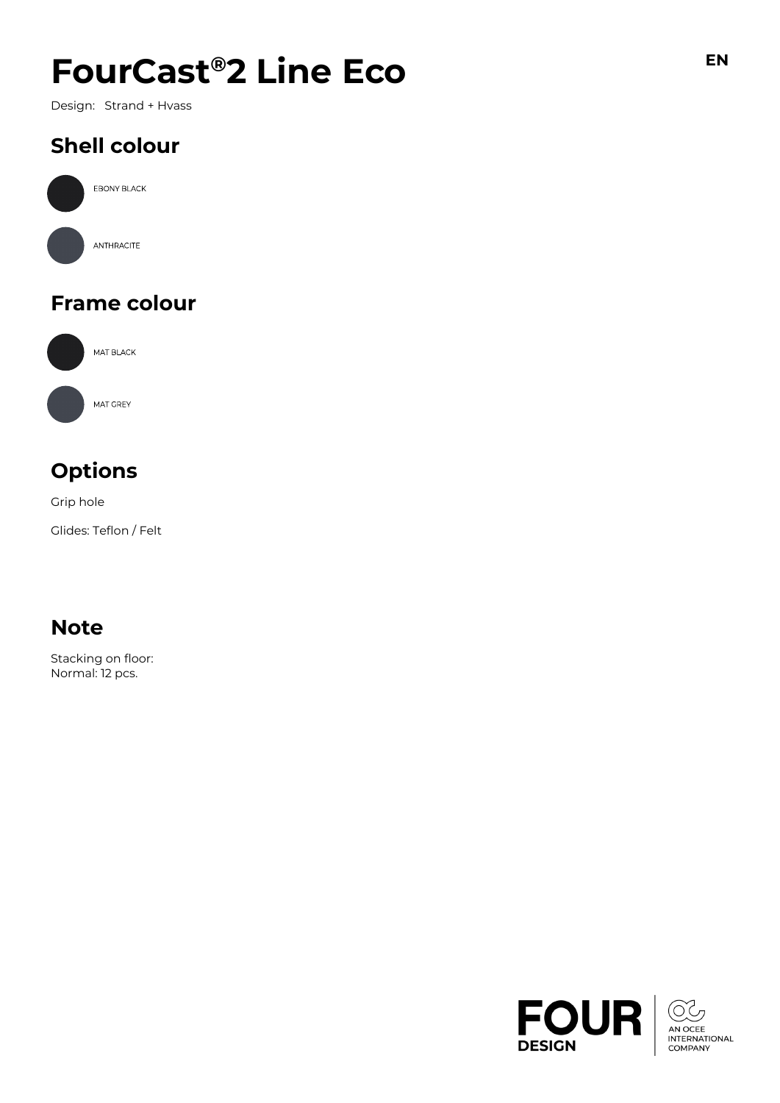# $F$ **OUrCast<sup>®</sup>2 Line Eco**

Design: Strand + Hvass

## **Shell colour**



### **Frame colour**



### **Options**

Grip hole

Glides: Teflon / Felt

### **Note**

Stacking on floor: Normal: 12 pcs.

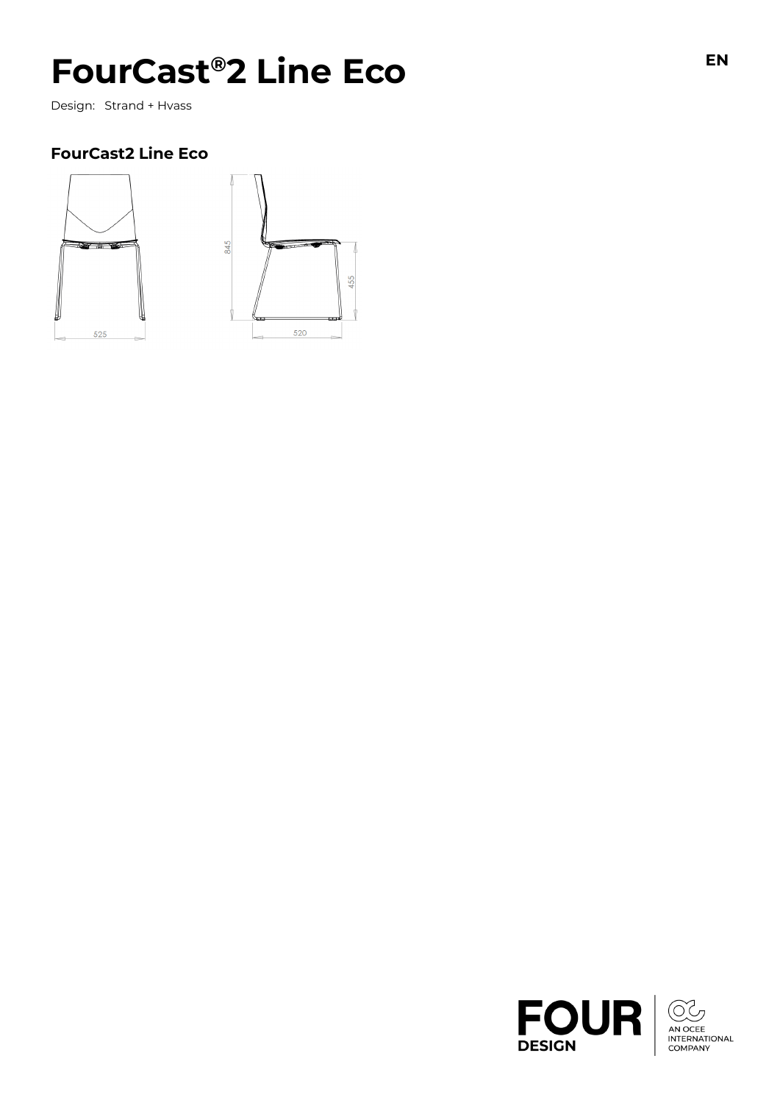# $F$ **OUrCast<sup>®</sup>2 Line Eco**

Design: Strand + Hvass

#### **FourCast2 Line Eco**